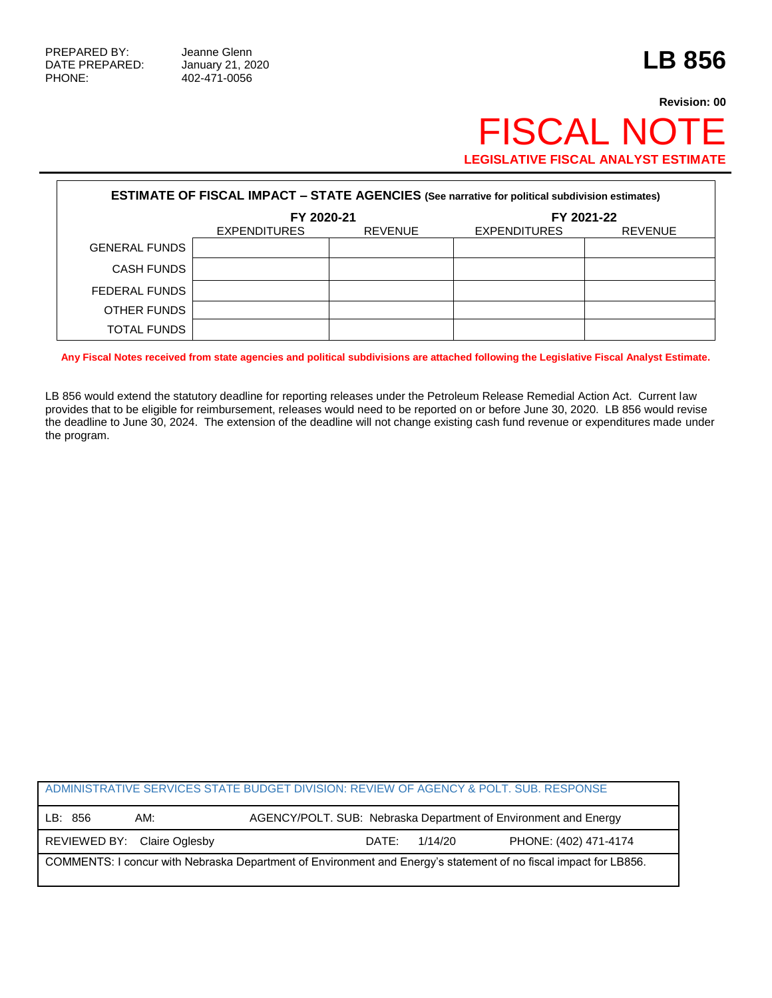## **Revision: 00** FISCAL NOTE **LEGISLATIVE FISCAL ANALYST ESTIMATE**

| <b>ESTIMATE OF FISCAL IMPACT - STATE AGENCIES (See narrative for political subdivision estimates)</b> |                     |                |                     |                |  |
|-------------------------------------------------------------------------------------------------------|---------------------|----------------|---------------------|----------------|--|
|                                                                                                       | FY 2020-21          |                | FY 2021-22          |                |  |
|                                                                                                       | <b>EXPENDITURES</b> | <b>REVENUE</b> | <b>EXPENDITURES</b> | <b>REVENUE</b> |  |
| <b>GENERAL FUNDS</b>                                                                                  |                     |                |                     |                |  |
| <b>CASH FUNDS</b>                                                                                     |                     |                |                     |                |  |
| FEDERAL FUNDS                                                                                         |                     |                |                     |                |  |
| OTHER FUNDS                                                                                           |                     |                |                     |                |  |
| <b>TOTAL FUNDS</b>                                                                                    |                     |                |                     |                |  |

**Any Fiscal Notes received from state agencies and political subdivisions are attached following the Legislative Fiscal Analyst Estimate.**

LB 856 would extend the statutory deadline for reporting releases under the Petroleum Release Remedial Action Act. Current law provides that to be eligible for reimbursement, releases would need to be reported on or before June 30, 2020. LB 856 would revise the deadline to June 30, 2024. The extension of the deadline will not change existing cash fund revenue or expenditures made under the program.

| ADMINISTRATIVE SERVICES STATE BUDGET DIVISION: REVIEW OF AGENCY & POLT. SUB. RESPONSE                            |                             |                                                                 |         |                       |  |
|------------------------------------------------------------------------------------------------------------------|-----------------------------|-----------------------------------------------------------------|---------|-----------------------|--|
| LB: 856                                                                                                          | AM:                         | AGENCY/POLT. SUB: Nebraska Department of Environment and Energy |         |                       |  |
|                                                                                                                  | REVIEWED BY: Claire Oglesby | DATE:                                                           | 1/14/20 | PHONE: (402) 471-4174 |  |
| COMMENTS: I concur with Nebraska Department of Environment and Energy's statement of no fiscal impact for LB856. |                             |                                                                 |         |                       |  |